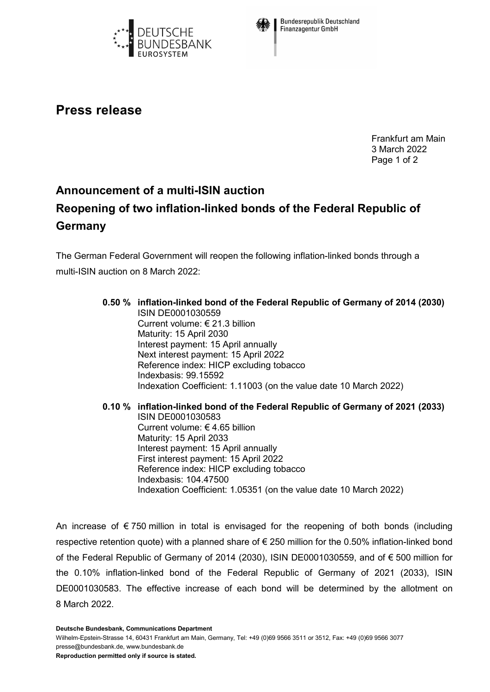



**Bundesrepublik Deutschland Finanzagentur GmbH** 

## **Press release**

Frankfurt am Main 3 March 2022 Page 1 of 2

## **Announcement of a multi-ISIN auction Reopening of two inflation-linked bonds of the Federal Republic of Germany**

The German Federal Government will reopen the following inflation-linked bonds through a multi-ISIN auction on 8 March 2022:

## **0.50 % inflation-linked bond of the Federal Republic of Germany of 2014 (2030)** ISIN DE0001030559 Current volume: € 21.3 billion Maturity: 15 April 2030 Interest payment: 15 April annually Next interest payment: 15 April 2022 Reference index: HICP excluding tobacco Indexbasis: 99.15592 Indexation Coefficient: 1.11003 (on the value date 10 March 2022)

**0.10 % inflation-linked bond of the Federal Republic of Germany of 2021 (2033)** ISIN DE0001030583 Current volume: € 4.65 billion Maturity: 15 April 2033 Interest payment: 15 April annually First interest payment: 15 April 2022 Reference index: HICP excluding tobacco Indexbasis: 104.47500 Indexation Coefficient: 1.05351 (on the value date 10 March 2022)

An increase of  $\epsilon$  750 million in total is envisaged for the reopening of both bonds (including respective retention quote) with a planned share of  $\epsilon$  250 million for the 0.50% inflation-linked bond of the Federal Republic of Germany of 2014 (2030), ISIN DE0001030559, and of € 500 million for the 0.10% inflation-linked bond of the Federal Republic of Germany of 2021 (2033), ISIN DE0001030583. The effective increase of each bond will be determined by the allotment on 8 March 2022.

**Deutsche Bundesbank, Communications Department**

Wilhelm-Epstein-Strasse 14, 60431 Frankfurt am Main, Germany, Tel: +49 (0)69 9566 3511 or 3512, Fax: +49 (0)69 9566 3077 presse@bundesbank.de, www.bundesbank.de